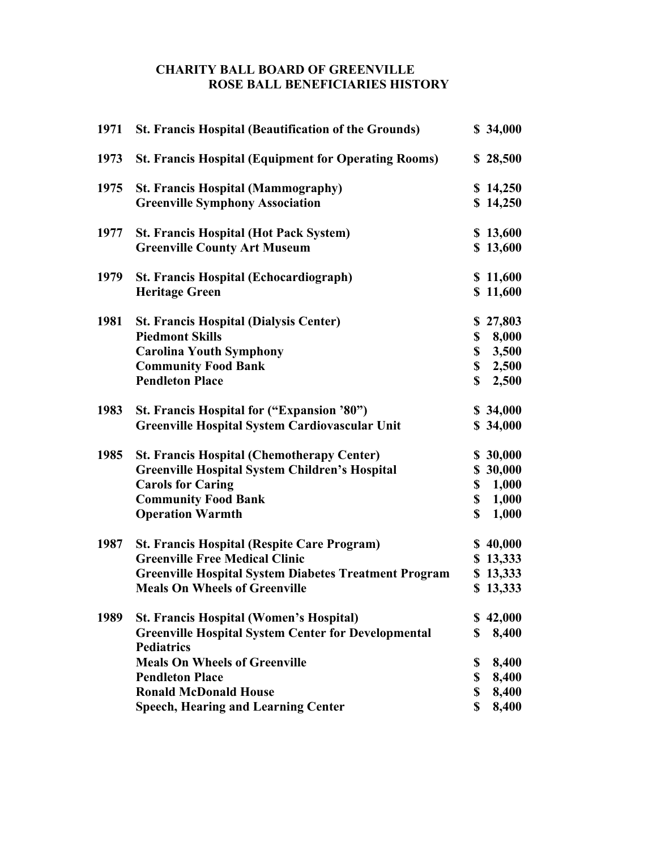## **CHARITY BALL BOARD OF GREENVILLE ROSE BALL BENEFICIARIES HISTORY**

| 1971 | <b>St. Francis Hospital (Beautification of the Grounds)</b>  |             | \$34,000 |
|------|--------------------------------------------------------------|-------------|----------|
| 1973 | <b>St. Francis Hospital (Equipment for Operating Rooms)</b>  |             | \$28,500 |
| 1975 | <b>St. Francis Hospital (Mammography)</b>                    |             | \$14,250 |
|      | <b>Greenville Symphony Association</b>                       |             | \$14,250 |
| 1977 | <b>St. Francis Hospital (Hot Pack System)</b>                |             | \$13,600 |
|      | <b>Greenville County Art Museum</b>                          |             | \$13,600 |
| 1979 | <b>St. Francis Hospital (Echocardiograph)</b>                |             | \$11,600 |
|      | <b>Heritage Green</b>                                        |             | \$11,600 |
| 1981 | <b>St. Francis Hospital (Dialysis Center)</b>                |             | \$27,803 |
|      | <b>Piedmont Skills</b>                                       |             | \$8,000  |
|      | <b>Carolina Youth Symphony</b>                               |             | \$3,500  |
|      | <b>Community Food Bank</b>                                   |             | \$2,500  |
|      | <b>Pendleton Place</b>                                       | \$          | 2,500    |
| 1983 | St. Francis Hospital for ("Expansion '80")                   |             | \$34,000 |
|      | <b>Greenville Hospital System Cardiovascular Unit</b>        |             | \$34,000 |
| 1985 | <b>St. Francis Hospital (Chemotherapy Center)</b>            |             | \$30,000 |
|      | <b>Greenville Hospital System Children's Hospital</b>        |             | \$30,000 |
|      | <b>Carols for Caring</b>                                     | \$          | 1,000    |
|      | <b>Community Food Bank</b>                                   |             | \$ 1,000 |
|      | <b>Operation Warmth</b>                                      | \$          | 1,000    |
| 1987 | <b>St. Francis Hospital (Respite Care Program)</b>           |             | \$40,000 |
|      | <b>Greenville Free Medical Clinic</b>                        |             | \$13,333 |
|      | <b>Greenville Hospital System Diabetes Treatment Program</b> |             | \$13,333 |
|      | <b>Meals On Wheels of Greenville</b>                         |             | \$13,333 |
| 1989 | <b>St. Francis Hospital (Women's Hospital)</b>               |             | \$42,000 |
|      | <b>Greenville Hospital System Center for Developmental</b>   | \$          | 8,400    |
|      | <b>Pediatrics</b>                                            |             |          |
|      | <b>Meals On Wheels of Greenville</b>                         | \$          | 8,400    |
|      | <b>Pendleton Place</b>                                       | \$          | 8,400    |
|      | <b>Ronald McDonald House</b>                                 | \$          | 8,400    |
|      | <b>Speech, Hearing and Learning Center</b>                   | $\mathbf S$ | 8,400    |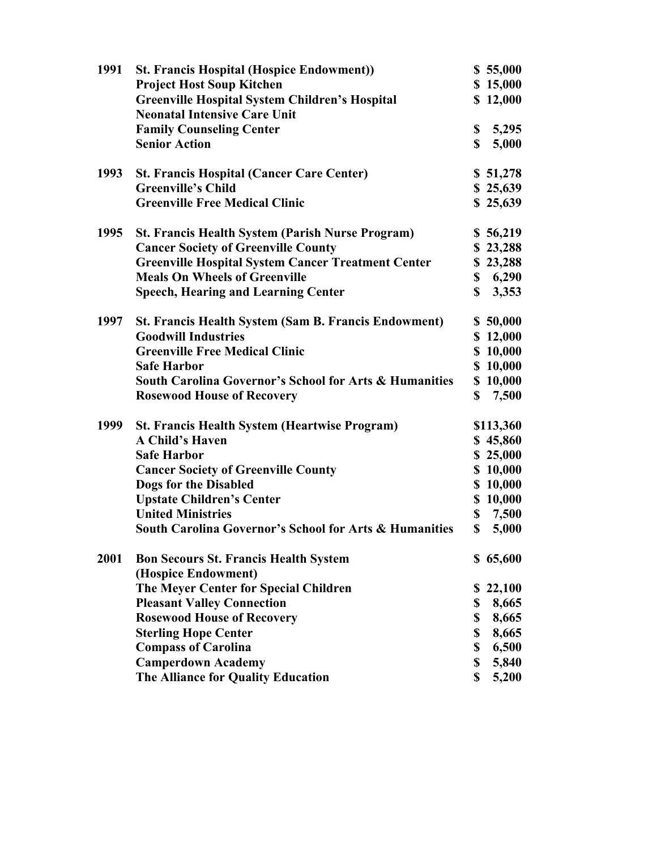| 1991 | <b>St. Francis Hospital (Hospice Endowment))</b>                  |             | \$55,000  |
|------|-------------------------------------------------------------------|-------------|-----------|
|      | <b>Project Host Soup Kitchen</b>                                  |             | \$15,000  |
|      | <b>Greenville Hospital System Children's Hospital</b>             |             | \$12,000  |
|      | <b>Neonatal Intensive Care Unit</b>                               |             |           |
|      | <b>Family Counseling Center</b>                                   | \$          | 5,295     |
|      | <b>Senior Action</b>                                              | $\mathbf S$ | 5,000     |
|      |                                                                   |             |           |
| 1993 | <b>St. Francis Hospital (Cancer Care Center)</b>                  |             | \$51,278  |
|      | <b>Greenville's Child</b>                                         |             | \$25,639  |
|      | <b>Greenville Free Medical Clinic</b>                             |             | \$25,639  |
| 1995 | <b>St. Francis Health System (Parish Nurse Program)</b>           |             | \$56,219  |
|      | <b>Cancer Society of Greenville County</b>                        |             | \$23,288  |
|      | <b>Greenville Hospital System Cancer Treatment Center</b>         |             | \$23,288  |
|      | <b>Meals On Wheels of Greenville</b>                              |             | \$6,290   |
|      | <b>Speech, Hearing and Learning Center</b>                        | \$          | 3,353     |
| 1997 | <b>St. Francis Health System (Sam B. Francis Endowment)</b>       |             | \$50,000  |
|      | <b>Goodwill Industries</b>                                        |             | \$12,000  |
|      | <b>Greenville Free Medical Clinic</b>                             |             | \$10,000  |
|      | <b>Safe Harbor</b>                                                |             | \$10,000  |
|      | <b>South Carolina Governor's School for Arts &amp; Humanities</b> |             | \$10,000  |
|      | <b>Rosewood House of Recovery</b>                                 | \$          | 7,500     |
|      |                                                                   |             |           |
| 1999 | <b>St. Francis Health System (Heartwise Program)</b>              |             | \$113,360 |
|      | <b>A Child's Haven</b>                                            |             | \$45,860  |
|      | <b>Safe Harbor</b>                                                |             | \$25,000  |
|      | <b>Cancer Society of Greenville County</b>                        |             | \$10,000  |
|      | Dogs for the Disabled                                             |             | \$10,000  |
|      | <b>Upstate Children's Center</b>                                  |             | \$10,000  |
|      | <b>United Ministries</b>                                          |             | \$7,500   |
|      | <b>South Carolina Governor's School for Arts &amp; Humanities</b> | \$          | 5,000     |
| 2001 | <b>Bon Secours St. Francis Health System</b>                      |             | \$65,600  |
|      | (Hospice Endowment)                                               |             |           |
|      | The Meyer Center for Special Children                             | \$          | 22,100    |
|      | <b>Pleasant Valley Connection</b>                                 | \$          | 8,665     |
|      | <b>Rosewood House of Recovery</b>                                 | \$          | 8,665     |
|      | <b>Sterling Hope Center</b>                                       | \$          | 8,665     |
|      | <b>Compass of Carolina</b>                                        | \$          | 6,500     |
|      | <b>Camperdown Academy</b>                                         | \$          | 5,840     |
|      | The Alliance for Quality Education                                | \$          | 5,200     |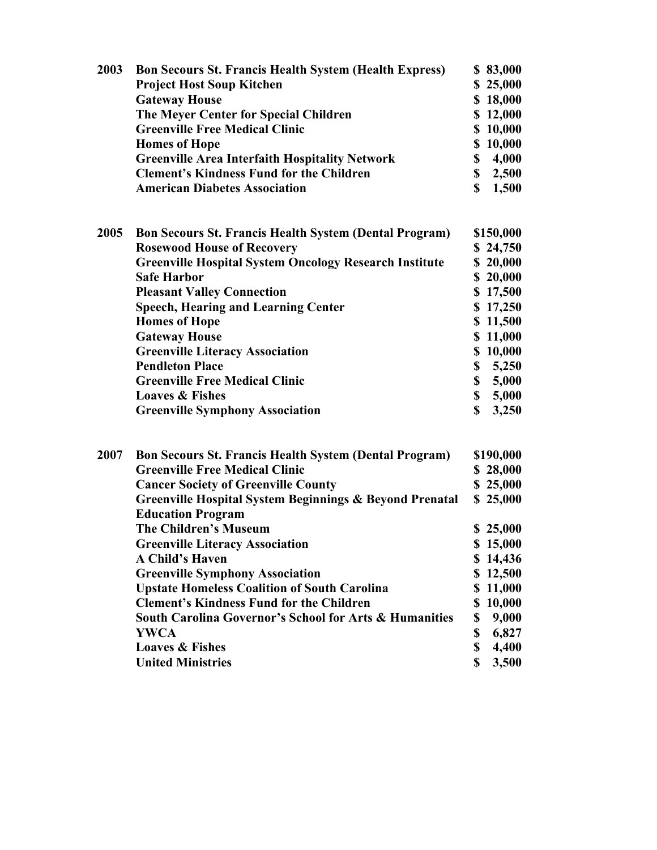| 2003 | <b>Bon Secours St. Francis Health System (Health Express)</b><br><b>Project Host Soup Kitchen</b><br><b>Gateway House</b><br>The Meyer Center for Special Children<br><b>Greenville Free Medical Clinic</b><br><b>Homes of Hope</b><br><b>Greenville Area Interfaith Hospitality Network</b><br><b>Clement's Kindness Fund for the Children</b><br><b>American Diabetes Association</b>                                                                                                                                                                                                                                                                      | \$83,000<br>\$25,000<br>\$18,000<br>\$12,000<br>\$10,000<br>\$10,000<br>\$ 4,000<br>\$2,500<br>$\mathbf S$<br>1,500                                                               |
|------|--------------------------------------------------------------------------------------------------------------------------------------------------------------------------------------------------------------------------------------------------------------------------------------------------------------------------------------------------------------------------------------------------------------------------------------------------------------------------------------------------------------------------------------------------------------------------------------------------------------------------------------------------------------|-----------------------------------------------------------------------------------------------------------------------------------------------------------------------------------|
| 2005 | <b>Bon Secours St. Francis Health System (Dental Program)</b><br><b>Rosewood House of Recovery</b><br><b>Greenville Hospital System Oncology Research Institute</b><br><b>Safe Harbor</b><br><b>Pleasant Valley Connection</b><br><b>Speech, Hearing and Learning Center</b><br><b>Homes of Hope</b><br><b>Gateway House</b><br><b>Greenville Literacy Association</b><br><b>Pendleton Place</b><br><b>Greenville Free Medical Clinic</b><br><b>Loaves &amp; Fishes</b><br><b>Greenville Symphony Association</b>                                                                                                                                            | \$150,000<br>\$24,750<br>\$20,000<br>\$20,000<br>\$17,500<br>\$17,250<br>\$11,500<br>\$11,000<br>\$10,000<br>\$5,250<br>\$5,000<br>\$5,000<br>\$<br>3,250                         |
| 2007 | <b>Bon Secours St. Francis Health System (Dental Program)</b><br><b>Greenville Free Medical Clinic</b><br><b>Cancer Society of Greenville County</b><br><b>Greenville Hospital System Beginnings &amp; Beyond Prenatal</b><br><b>Education Program</b><br><b>The Children's Museum</b><br><b>Greenville Literacy Association</b><br><b>A Child's Haven</b><br><b>Greenville Symphony Association</b><br><b>Upstate Homeless Coalition of South Carolina</b><br><b>Clement's Kindness Fund for the Children</b><br><b>South Carolina Governor's School for Arts &amp; Humanities</b><br><b>YWCA</b><br><b>Loaves &amp; Fishes</b><br><b>United Ministries</b> | \$190,000<br>\$28,000<br>\$25,000<br>\$25,000<br>\$25,000<br>\$15,000<br>\$14,436<br>\$12,500<br>\$11,000<br>\$10,000<br>\$<br>9,000<br>\$<br>6,827<br>\$<br>4,400<br>\$<br>3,500 |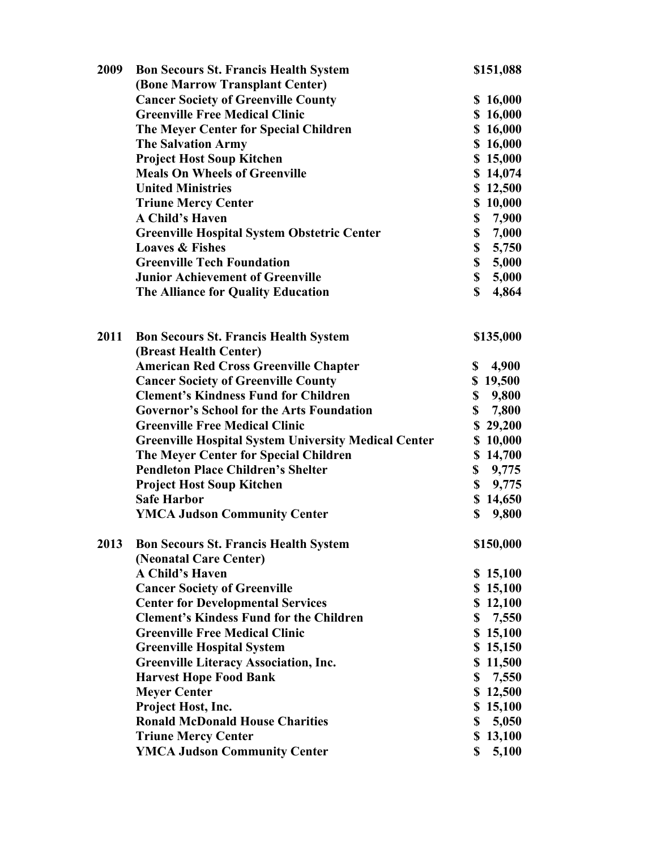| 2009 | <b>Bon Secours St. Francis Health System</b>                |             | \$151,088 |
|------|-------------------------------------------------------------|-------------|-----------|
|      | (Bone Marrow Transplant Center)                             |             |           |
|      | <b>Cancer Society of Greenville County</b>                  |             | \$16,000  |
|      | <b>Greenville Free Medical Clinic</b>                       |             | \$16,000  |
|      | The Meyer Center for Special Children                       |             | \$16,000  |
|      | <b>The Salvation Army</b>                                   |             | \$16,000  |
|      | <b>Project Host Soup Kitchen</b>                            |             | \$15,000  |
|      | <b>Meals On Wheels of Greenville</b>                        |             | \$14,074  |
|      | <b>United Ministries</b>                                    |             | \$12,500  |
|      | <b>Triune Mercy Center</b>                                  |             | \$10,000  |
|      | <b>A Child's Haven</b>                                      | \$          | 7,900     |
|      | <b>Greenville Hospital System Obstetric Center</b>          | \$          | 7,000     |
|      | <b>Loaves &amp; Fishes</b>                                  |             | \$5,750   |
|      | <b>Greenville Tech Foundation</b>                           |             | \$5,000   |
|      | <b>Junior Achievement of Greenville</b>                     |             | \$5,000   |
|      | The Alliance for Quality Education                          | $\mathbf S$ | 4,864     |
|      |                                                             |             |           |
|      |                                                             |             |           |
| 2011 | <b>Bon Secours St. Francis Health System</b>                |             | \$135,000 |
|      | (Breast Health Center)                                      |             |           |
|      | <b>American Red Cross Greenville Chapter</b>                | $\mathbf S$ | 4,900     |
|      | <b>Cancer Society of Greenville County</b>                  |             | \$19,500  |
|      | <b>Clement's Kindness Fund for Children</b>                 |             | \$9,800   |
|      | <b>Governor's School for the Arts Foundation</b>            |             | \$7,800   |
|      | <b>Greenville Free Medical Clinic</b>                       |             | \$29,200  |
|      | <b>Greenville Hospital System University Medical Center</b> |             | \$10,000  |
|      | The Meyer Center for Special Children                       |             | \$14,700  |
|      | <b>Pendleton Place Children's Shelter</b>                   |             | \$9,775   |
|      | <b>Project Host Soup Kitchen</b>                            | \$          | 9,775     |
|      | <b>Safe Harbor</b>                                          |             | \$14,650  |
|      | <b>YMCA Judson Community Center</b>                         | \$          | 9,800     |
| 2013 | <b>Bon Secours St. Francis Health System</b>                |             | \$150,000 |
|      | (Neonatal Care Center)                                      |             |           |
|      | <b>A Child's Haven</b>                                      |             | \$15,100  |
|      | <b>Cancer Society of Greenville</b>                         |             | \$15,100  |
|      | <b>Center for Developmental Services</b>                    |             | \$12,100  |
|      | <b>Clement's Kindess Fund for the Children</b>              |             | \$7,550   |
|      | <b>Greenville Free Medical Clinic</b>                       |             | \$15,100  |
|      | <b>Greenville Hospital System</b>                           |             | \$15,150  |
|      | <b>Greenville Literacy Association, Inc.</b>                |             | \$11,500  |
|      | <b>Harvest Hope Food Bank</b>                               | \$          | 7,550     |
|      | <b>Meyer Center</b>                                         |             | \$12,500  |
|      | Project Host, Inc.                                          |             | \$15,100  |
|      | <b>Ronald McDonald House Charities</b>                      | \$          | 5,050     |
|      | <b>Triune Mercy Center</b>                                  |             | \$13,100  |
|      | <b>YMCA Judson Community Center</b>                         | \$          | 5,100     |
|      |                                                             |             |           |